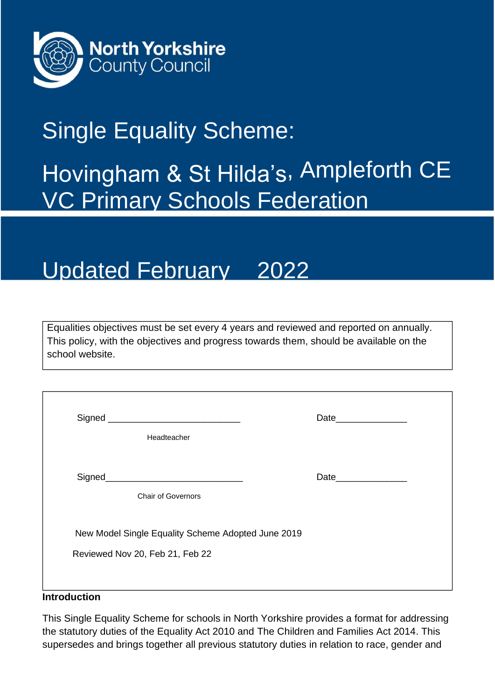

## Single Equality Scheme:

# Hovingham & St Hilda's, Ampleforth CE **VC Primary Schools Federation**

## Updated February 2022

Equalities objectives must be set every 4 years and reviewed and reported on annually. This policy, with the objectives and progress towards them, should be available on the school website.

|                                                    | Date_______________ |
|----------------------------------------------------|---------------------|
| Headteacher                                        |                     |
|                                                    |                     |
| <b>Chair of Governors</b>                          |                     |
| New Model Single Equality Scheme Adopted June 2019 |                     |
| Reviewed Nov 20, Feb 21, Feb 22                    |                     |
|                                                    |                     |

#### **Introduction**

This Single Equality Scheme for schools in North Yorkshire provides a format for addressing the statutory duties of the Equality Act 2010 and The Children and Families Act 2014. This supersedes and brings together all previous statutory duties in relation to race, gender and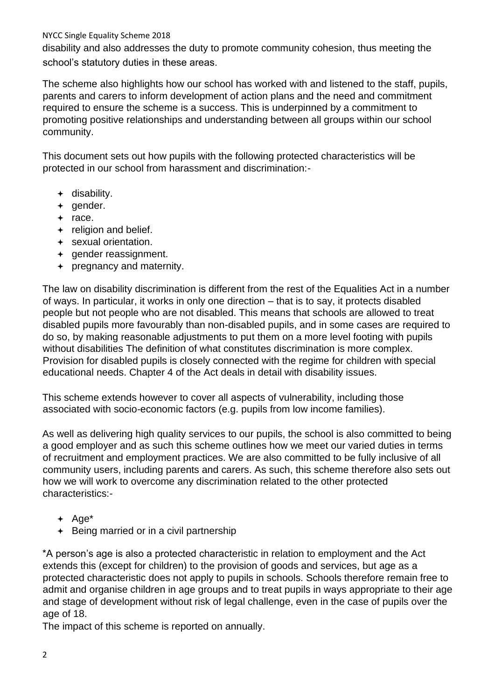disability and also addresses the duty to promote community cohesion, thus meeting the school's statutory duties in these areas.

The scheme also highlights how our school has worked with and listened to the staff, pupils, parents and carers to inform development of action plans and the need and commitment required to ensure the scheme is a success. This is underpinned by a commitment to promoting positive relationships and understanding between all groups within our school community.

This document sets out how pupils with the following protected characteristics will be protected in our school from harassment and discrimination:-

- $+$  disability.
- $+$  gender.
- $+$  race.
- $\div$  religion and belief.
- sexual orientation.
- + gender reassignment.
- pregnancy and maternity.

The law on disability discrimination is different from the rest of the Equalities Act in a number of ways. In particular, it works in only one direction – that is to say, it protects disabled people but not people who are not disabled. This means that schools are allowed to treat disabled pupils more favourably than non-disabled pupils, and in some cases are required to do so, by making reasonable adjustments to put them on a more level footing with pupils without disabilities The definition of what constitutes discrimination is more complex. Provision for disabled pupils is closely connected with the regime for children with special educational needs. Chapter 4 of the Act deals in detail with disability issues.

This scheme extends however to cover all aspects of vulnerability, including those associated with socio-economic factors (e.g. pupils from low income families).

As well as delivering high quality services to our pupils, the school is also committed to being a good employer and as such this scheme outlines how we meet our varied duties in terms of recruitment and employment practices. We are also committed to be fully inclusive of all community users, including parents and carers. As such, this scheme therefore also sets out how we will work to overcome any discrimination related to the other protected characteristics:-

- $+$  Age<sup>\*</sup>
- $\div$  Being married or in a civil partnership

\*A person's age is also a protected characteristic in relation to employment and the Act extends this (except for children) to the provision of goods and services, but age as a protected characteristic does not apply to pupils in schools. Schools therefore remain free to admit and organise children in age groups and to treat pupils in ways appropriate to their age and stage of development without risk of legal challenge, even in the case of pupils over the age of 18.

The impact of this scheme is reported on annually.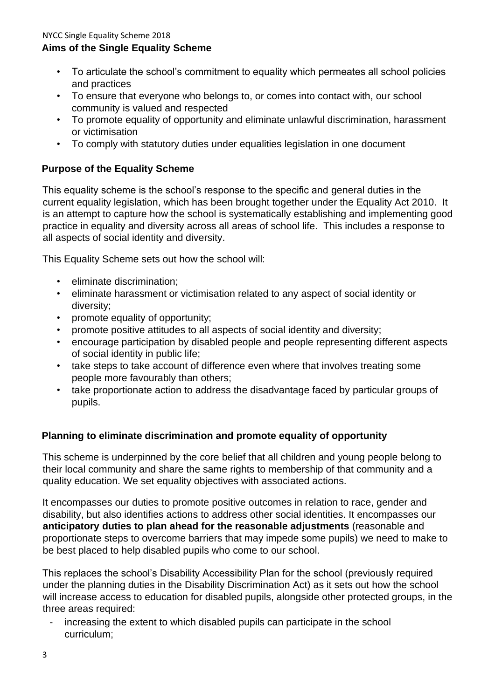- To articulate the school's commitment to equality which permeates all school policies and practices
- To ensure that everyone who belongs to, or comes into contact with, our school community is valued and respected
- To promote equality of opportunity and eliminate unlawful discrimination, harassment or victimisation
- To comply with statutory duties under equalities legislation in one document

## **Purpose of the Equality Scheme**

This equality scheme is the school's response to the specific and general duties in the current equality legislation, which has been brought together under the Equality Act 2010. It is an attempt to capture how the school is systematically establishing and implementing good practice in equality and diversity across all areas of school life. This includes a response to all aspects of social identity and diversity.

This Equality Scheme sets out how the school will:

- eliminate discrimination;
- eliminate harassment or victimisation related to any aspect of social identity or diversity;
- promote equality of opportunity;
- promote positive attitudes to all aspects of social identity and diversity;
- encourage participation by disabled people and people representing different aspects of social identity in public life;
- take steps to take account of difference even where that involves treating some people more favourably than others;
- take proportionate action to address the disadvantage faced by particular groups of pupils.

## **Planning to eliminate discrimination and promote equality of opportunity**

This scheme is underpinned by the core belief that all children and young people belong to their local community and share the same rights to membership of that community and a quality education. We set equality objectives with associated actions.

It encompasses our duties to promote positive outcomes in relation to race, gender and disability, but also identifies actions to address other social identities. It encompasses our **anticipatory duties to plan ahead for the reasonable adjustments** (reasonable and proportionate steps to overcome barriers that may impede some pupils) we need to make to be best placed to help disabled pupils who come to our school.

This replaces the school's Disability Accessibility Plan for the school (previously required under the planning duties in the Disability Discrimination Act) as it sets out how the school will increase access to education for disabled pupils, alongside other protected groups, in the three areas required:

- increasing the extent to which disabled pupils can participate in the school curriculum;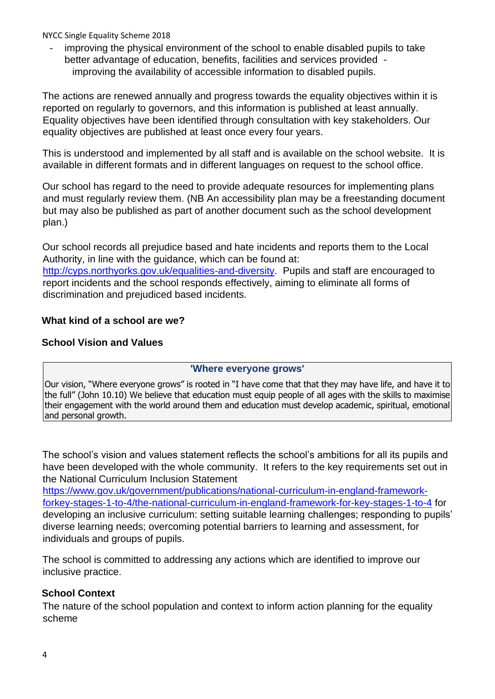improving the physical environment of the school to enable disabled pupils to take better advantage of education, benefits, facilities and services provided improving the availability of accessible information to disabled pupils.

The actions are renewed annually and progress towards the equality objectives within it is reported on regularly to governors, and this information is published at least annually. Equality objectives have been identified through consultation with key stakeholders. Our equality objectives are published at least once every four years.

This is understood and implemented by all staff and is available on the school website. It is available in different formats and in different languages on request to the school office.

Our school has regard to the need to provide adequate resources for implementing plans and must regularly review them. (NB An accessibility plan may be a freestanding document but may also be published as part of another document such as the school development plan.)

Our school records all prejudice based and hate incidents and reports them to the Local Authority, in line with the guidance, which can be found at:

[http://cyps.northyorks.gov.uk/equalities-and-diversity.](http://cyps.northyorks.gov.uk/equalities-and-diversity) Pupils and staff are encouraged to report incidents and the school responds effectively, aiming to eliminate all forms of discrimination and prejudiced based incidents.

## **What kind of a school are we?**

## **School Vision and Values**

## **'Where everyone grows'**

Our vision, "Where everyone grows" is rooted in "I have come that that they may have life, and have it to the full" (John 10.10) We believe that education must equip people of all ages with the skills to maximise their engagement with the world around them and education must develop academic, spiritual, emotional and personal growth.

The school's vision and values statement reflects the school's ambitions for all its pupils and have been developed with the whole community. It refers to the key requirements set out in the National Curriculum Inclusion Statement

[https://www.gov.uk/government/publications/national-curriculum-in-england-framework](https://www.gov.uk/government/publications/national-curriculum-in-england-framework-for-key-stages-1-to-4/the-national-curriculum-in-england-framework-for-key-stages-1-to-4)[forkey-stages-1-to-4/the-national-curriculum-in-england-framework-for-key-stages-1-to-4](https://www.gov.uk/government/publications/national-curriculum-in-england-framework-for-key-stages-1-to-4/the-national-curriculum-in-england-framework-for-key-stages-1-to-4) for developing an inclusive curriculum: setting suitable learning challenges; responding to pupils' diverse learning needs; overcoming potential barriers to learning and assessment, for individuals and groups of pupils.

The school is committed to addressing any actions which are identified to improve our inclusive practice.

## **School Context**

The nature of the school population and context to inform action planning for the equality scheme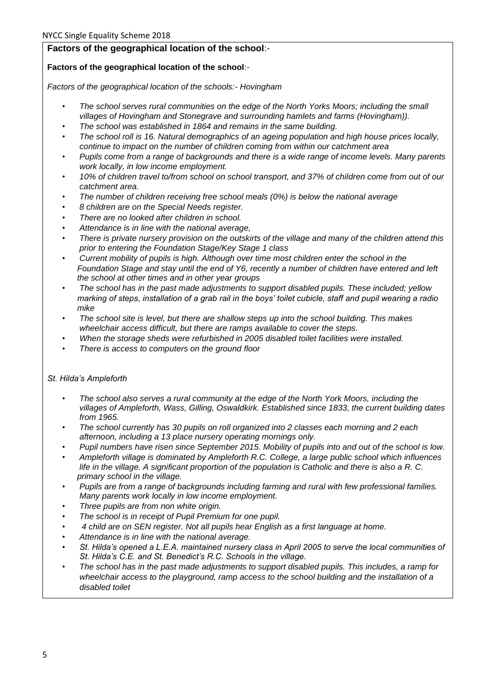#### **Factors of the geographical location of the school**:-

#### **Factors of the geographical location of the school**:-

*Factors of the geographical location of the schools:- Hovingham* 

- *The school serves rural communities on the edge of the North Yorks Moors; including the small villages of Hovingham and Stonegrave and surrounding hamlets and farms (Hovingham)).*
- *The school was established in 1864 and remains in the same building.*
- *The school roll is 16. Natural demographics of an ageing population and high house prices locally, continue to impact on the number of children coming from within our catchment area*
- *Pupils come from a range of backgrounds and there is a wide range of income levels. Many parents work locally, in low income employment.*
- *10% of children travel to/from school on school transport, and 37% of children come from out of our catchment area.*
- *The number of children receiving free school meals (0%) is below the national average*
- *8 children are on the Special Needs register.*
- *There are no looked after children in school.*
- *Attendance is in line with the national average,*
- *There is private nursery provision on the outskirts of the village and many of the children attend this prior to entering the Foundation Stage/Key Stage 1 class*
- *Current mobility of pupils is high. Although over time most children enter the school in the Foundation Stage and stay until the end of Y6, recently a number of children have entered and left the school at other times and in other year groups*
- *The school has in the past made adjustments to support disabled pupils. These included; yellow marking of steps, installation of a grab rail in the boys' toilet cubicle, staff and pupil wearing a radio mike*
- *The school site is level, but there are shallow steps up into the school building. This makes wheelchair access difficult, but there are ramps available to cover the steps.*
- *When the storage sheds were refurbished in 2005 disabled toilet facilities were installed.*
- *There is access to computers on the ground floor*

#### *St. Hilda's Ampleforth*

- *The school also serves a rural community at the edge of the North York Moors, including the villages of Ampleforth, Wass, Gilling, Oswaldkirk. Established since 1833, the current building dates from 1965.*
- *The school currently has 30 pupils on roll organized into 2 classes each morning and 2 each afternoon, including a 13 place nursery operating mornings only.*
- *Pupil numbers have risen since September 2015. Mobility of pupils into and out of the school is low.*
- *Ampleforth village is dominated by Ampleforth R.C. College, a large public school which influences life in the village. A significant proportion of the population is Catholic and there is also a R. C. primary school in the village.*
- *Pupils are from a range of backgrounds including farming and rural with few professional families. Many parents work locally in low income employment.*
- *Three pupils are from non white origin.*
- *The school is in receipt of Pupil Premium for one pupil.*
- *4 child are on SEN register. Not all pupils hear English as a first language at home.*
- *Attendance is in line with the national average.*
- *St. Hilda's opened a L.E.A. maintained nursery class in April 2005 to serve the local communities of St. Hilda's C.E. and St. Benedict's R.C. Schools in the village.*
- *The school has in the past made adjustments to support disabled pupils. This includes, a ramp for wheelchair access to the playground, ramp access to the school building and the installation of a disabled toilet*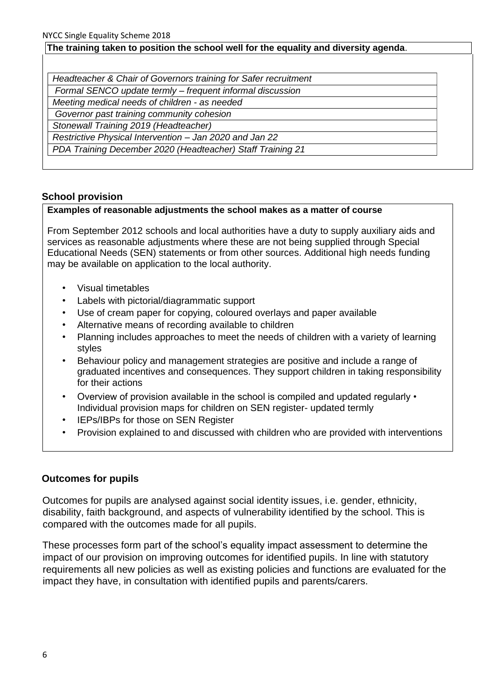#### **The training taken to position the school well for the equality and diversity agenda**.

| Headteacher & Chair of Governors training for Safer recruitment |  |
|-----------------------------------------------------------------|--|
| Formal SENCO update termly - frequent informal discussion       |  |
| Meeting medical needs of children - as needed                   |  |
| Governor past training community cohesion                       |  |
| Stonewall Training 2019 (Headteacher)                           |  |
| Restrictive Physical Intervention - Jan 2020 and Jan 22         |  |
| PDA Training December 2020 (Headteacher) Staff Training 21      |  |

#### **School provision**

#### **Examples of reasonable adjustments the school makes as a matter of course**

From September 2012 schools and local authorities have a duty to supply auxiliary aids and services as reasonable adjustments where these are not being supplied through Special Educational Needs (SEN) statements or from other sources. Additional high needs funding may be available on application to the local authority.

- Visual timetables
- Labels with pictorial/diagrammatic support
- Use of cream paper for copying, coloured overlays and paper available
- Alternative means of recording available to children
- Planning includes approaches to meet the needs of children with a variety of learning styles
- Behaviour policy and management strategies are positive and include a range of graduated incentives and consequences. They support children in taking responsibility for their actions
- Overview of provision available in the school is compiled and updated regularly Individual provision maps for children on SEN register- updated termly
- IEPs/IBPs for those on SEN Register
- Provision explained to and discussed with children who are provided with interventions

#### **Outcomes for pupils**

Outcomes for pupils are analysed against social identity issues, i.e. gender, ethnicity, disability, faith background, and aspects of vulnerability identified by the school. This is compared with the outcomes made for all pupils.

These processes form part of the school's equality impact assessment to determine the impact of our provision on improving outcomes for identified pupils. In line with statutory requirements all new policies as well as existing policies and functions are evaluated for the impact they have, in consultation with identified pupils and parents/carers.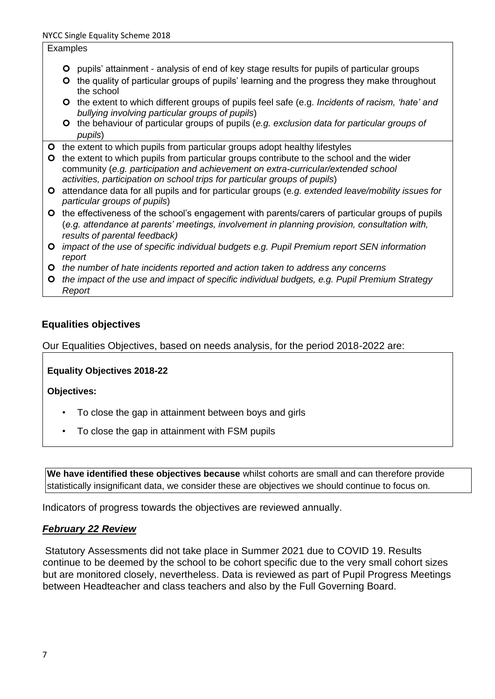#### Examples

- pupils' attainment analysis of end of key stage results for pupils of particular groups
- **O** the quality of particular groups of pupils' learning and the progress they make throughout the school
- the extent to which different groups of pupils feel safe (e.g. *Incidents of racism, 'hate' and bullying involving particular groups of pupils*)
- the behaviour of particular groups of pupils (*e.g. exclusion data for particular groups of pupils*)
- **O** the extent to which pupils from particular groups adopt healthy lifestyles
- **O** the extent to which pupils from particular groups contribute to the school and the wider community (*e.g. participation and achievement on extra-curricular/extended school activities, participation on school trips for particular groups of pupils*)
- attendance data for all pupils and for particular groups (e*.g. extended leave/mobility issues for particular groups of pupils*)
- **O** the effectiveness of the school's engagement with parents/carers of particular groups of pupils (*e.g. attendance at parents' meetings, involvement in planning provision, consultation with, results of parental feedback)*
- *impact of the use of specific individual budgets e.g. Pupil Premium report SEN information report*
- *the number of hate incidents reported and action taken to address any concerns*
- *the impact of the use and impact of specific individual budgets, e.g. Pupil Premium Strategy Report*

#### **Equalities objectives**

Our Equalities Objectives, based on needs analysis, for the period 2018-2022 are:

**Equality Objectives 2018-22** 

**Objectives:** 

- To close the gap in attainment between boys and girls
- To close the gap in attainment with FSM pupils

**We have identified these objectives because** whilst cohorts are small and can therefore provide statistically insignificant data, we consider these are objectives we should continue to focus on.

Indicators of progress towards the objectives are reviewed annually.

#### *February 22 Review*

Statutory Assessments did not take place in Summer 2021 due to COVID 19. Results continue to be deemed by the school to be cohort specific due to the very small cohort sizes but are monitored closely, nevertheless. Data is reviewed as part of Pupil Progress Meetings between Headteacher and class teachers and also by the Full Governing Board.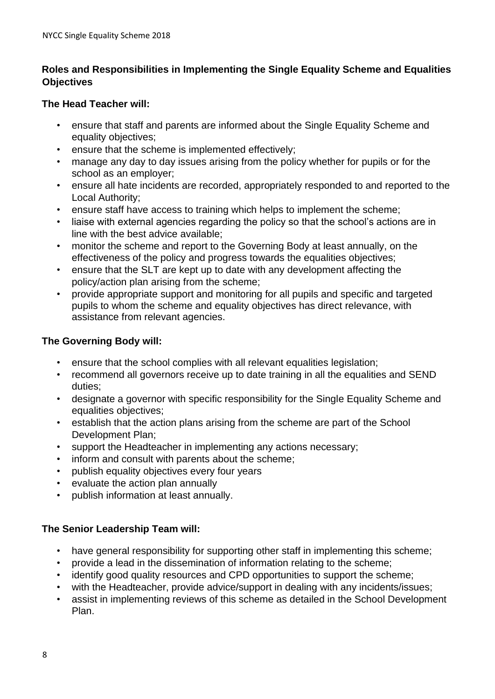## **Roles and Responsibilities in Implementing the Single Equality Scheme and Equalities Objectives**

## **The Head Teacher will:**

- ensure that staff and parents are informed about the Single Equality Scheme and equality objectives;
- ensure that the scheme is implemented effectively;
- manage any day to day issues arising from the policy whether for pupils or for the school as an employer;
- ensure all hate incidents are recorded, appropriately responded to and reported to the Local Authority;
- ensure staff have access to training which helps to implement the scheme;
- liaise with external agencies regarding the policy so that the school's actions are in line with the best advice available;
- monitor the scheme and report to the Governing Body at least annually, on the effectiveness of the policy and progress towards the equalities objectives;
- ensure that the SLT are kept up to date with any development affecting the policy/action plan arising from the scheme;
- provide appropriate support and monitoring for all pupils and specific and targeted pupils to whom the scheme and equality objectives has direct relevance, with assistance from relevant agencies.

## **The Governing Body will:**

- ensure that the school complies with all relevant equalities legislation;
- recommend all governors receive up to date training in all the equalities and SEND duties;
- designate a governor with specific responsibility for the Single Equality Scheme and equalities objectives;
- establish that the action plans arising from the scheme are part of the School Development Plan;
- support the Headteacher in implementing any actions necessary;
- inform and consult with parents about the scheme;
- publish equality objectives every four years
- evaluate the action plan annually
- publish information at least annually.

## **The Senior Leadership Team will:**

- have general responsibility for supporting other staff in implementing this scheme;
- provide a lead in the dissemination of information relating to the scheme;
- identify good quality resources and CPD opportunities to support the scheme;
- with the Headteacher, provide advice/support in dealing with any incidents/issues;
- assist in implementing reviews of this scheme as detailed in the School Development Plan.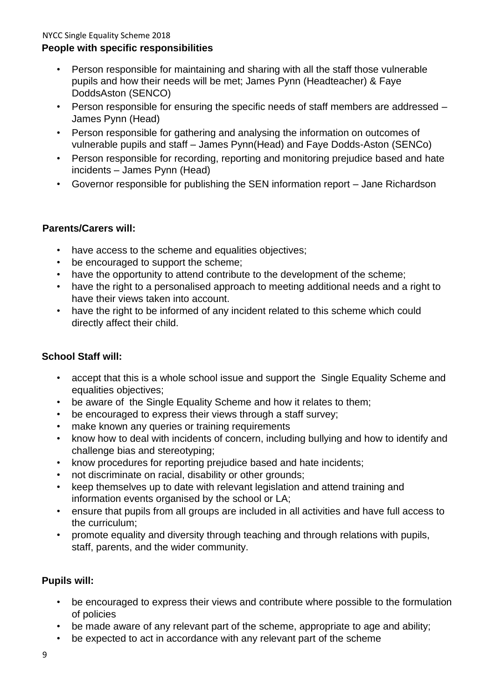- Person responsible for maintaining and sharing with all the staff those vulnerable pupils and how their needs will be met; James Pynn (Headteacher) & Faye DoddsAston (SENCO)
- Person responsible for ensuring the specific needs of staff members are addressed James Pynn (Head)
- Person responsible for gathering and analysing the information on outcomes of vulnerable pupils and staff – James Pynn(Head) and Faye Dodds-Aston (SENCo)
- Person responsible for recording, reporting and monitoring prejudice based and hate incidents – James Pynn (Head)
- Governor responsible for publishing the SEN information report Jane Richardson

## **Parents/Carers will:**

- have access to the scheme and equalities objectives;
- be encouraged to support the scheme:
- have the opportunity to attend contribute to the development of the scheme;
- have the right to a personalised approach to meeting additional needs and a right to have their views taken into account.
- have the right to be informed of any incident related to this scheme which could directly affect their child.

## **School Staff will:**

- accept that this is a whole school issue and support the Single Equality Scheme and equalities objectives;
- be aware of the Single Equality Scheme and how it relates to them;
- be encouraged to express their views through a staff survey;
- make known any queries or training requirements
- know how to deal with incidents of concern, including bullying and how to identify and challenge bias and stereotyping;
- know procedures for reporting prejudice based and hate incidents;
- not discriminate on racial, disability or other grounds;
- keep themselves up to date with relevant legislation and attend training and information events organised by the school or LA;
- ensure that pupils from all groups are included in all activities and have full access to the curriculum;
- promote equality and diversity through teaching and through relations with pupils, staff, parents, and the wider community.

## **Pupils will:**

- be encouraged to express their views and contribute where possible to the formulation of policies
- be made aware of any relevant part of the scheme, appropriate to age and ability;
- be expected to act in accordance with any relevant part of the scheme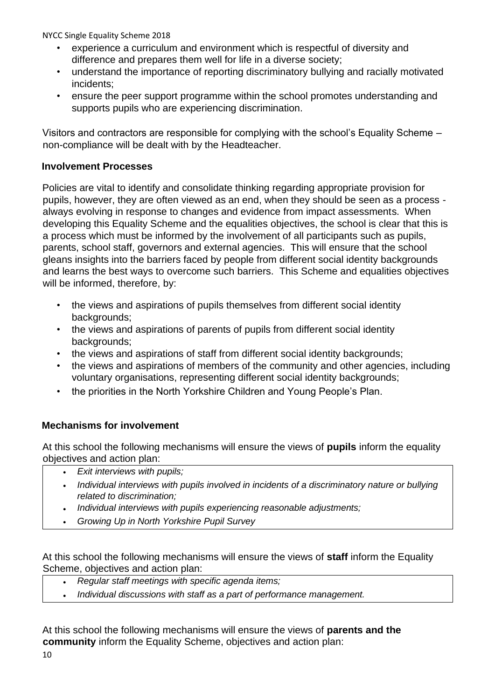- experience a curriculum and environment which is respectful of diversity and difference and prepares them well for life in a diverse society;
- understand the importance of reporting discriminatory bullying and racially motivated incidents;
- ensure the peer support programme within the school promotes understanding and supports pupils who are experiencing discrimination.

Visitors and contractors are responsible for complying with the school's Equality Scheme – non-compliance will be dealt with by the Headteacher.

## **Involvement Processes**

Policies are vital to identify and consolidate thinking regarding appropriate provision for pupils, however, they are often viewed as an end, when they should be seen as a process always evolving in response to changes and evidence from impact assessments. When developing this Equality Scheme and the equalities objectives, the school is clear that this is a process which must be informed by the involvement of all participants such as pupils, parents, school staff, governors and external agencies. This will ensure that the school gleans insights into the barriers faced by people from different social identity backgrounds and learns the best ways to overcome such barriers. This Scheme and equalities objectives will be informed, therefore, by:

- the views and aspirations of pupils themselves from different social identity backgrounds:
- the views and aspirations of parents of pupils from different social identity backgrounds:
- the views and aspirations of staff from different social identity backgrounds;
- the views and aspirations of members of the community and other agencies, including voluntary organisations, representing different social identity backgrounds;
- the priorities in the North Yorkshire Children and Young People's Plan.

## **Mechanisms for involvement**

At this school the following mechanisms will ensure the views of **pupils** inform the equality objectives and action plan:

- *Exit interviews with pupils;*
- *Individual interviews with pupils involved in incidents of a discriminatory nature or bullying related to discrimination;*
- *Individual interviews with pupils experiencing reasonable adjustments;*
- *Growing Up in North Yorkshire Pupil Survey*

At this school the following mechanisms will ensure the views of **staff** inform the Equality Scheme, objectives and action plan:

- *Regular staff meetings with specific agenda items;*
- *Individual discussions with staff as a part of performance management.*

At this school the following mechanisms will ensure the views of **parents and the community** inform the Equality Scheme, objectives and action plan: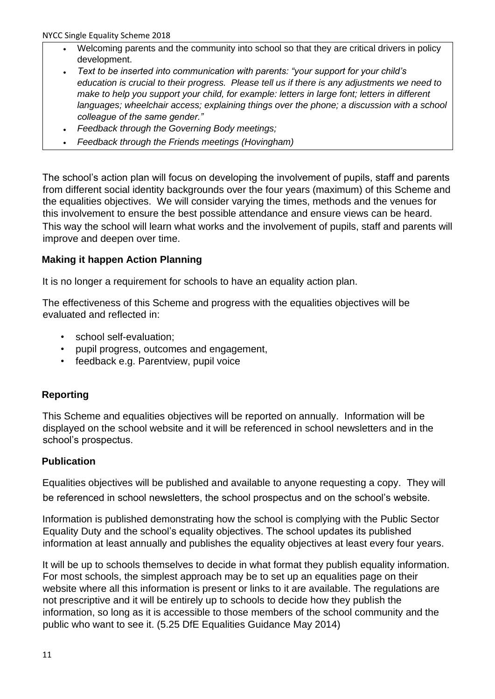- Welcoming parents and the community into school so that they are critical drivers in policy development.
- *Text to be inserted into communication with parents: "your support for your child's education is crucial to their progress. Please tell us if there is any adjustments we need to make to help you support your child, for example: letters in large font; letters in different languages; wheelchair access; explaining things over the phone; a discussion with a school colleague of the same gender."*
- *Feedback through the Governing Body meetings;*
- *Feedback through the Friends meetings (Hovingham)*

The school's action plan will focus on developing the involvement of pupils, staff and parents from different social identity backgrounds over the four years (maximum) of this Scheme and the equalities objectives. We will consider varying the times, methods and the venues for this involvement to ensure the best possible attendance and ensure views can be heard. This way the school will learn what works and the involvement of pupils, staff and parents will improve and deepen over time.

## **Making it happen Action Planning**

It is no longer a requirement for schools to have an equality action plan.

The effectiveness of this Scheme and progress with the equalities objectives will be evaluated and reflected in:

- school self-evaluation;
- pupil progress, outcomes and engagement,
- feedback e.g. Parentview, pupil voice

## **Reporting**

This Scheme and equalities objectives will be reported on annually. Information will be displayed on the school website and it will be referenced in school newsletters and in the school's prospectus.

## **Publication**

Equalities objectives will be published and available to anyone requesting a copy. They will be referenced in school newsletters, the school prospectus and on the school's website.

Information is published demonstrating how the school is complying with the Public Sector Equality Duty and the school's equality objectives. The school updates its published information at least annually and publishes the equality objectives at least every four years.

It will be up to schools themselves to decide in what format they publish equality information. For most schools, the simplest approach may be to set up an equalities page on their website where all this information is present or links to it are available. The regulations are not prescriptive and it will be entirely up to schools to decide how they publish the information, so long as it is accessible to those members of the school community and the public who want to see it. (5.25 DfE Equalities Guidance May 2014)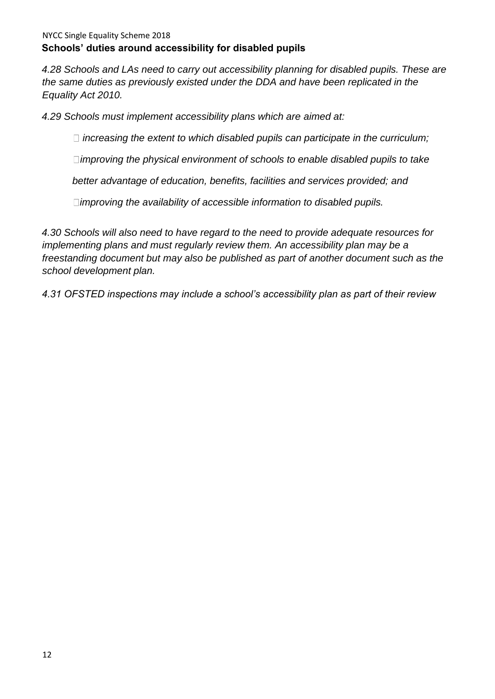*4.28 Schools and LAs need to carry out accessibility planning for disabled pupils. These are the same duties as previously existed under the DDA and have been replicated in the Equality Act 2010.* 

*4.29 Schools must implement accessibility plans which are aimed at:* 

*increasing the extent to which disabled pupils can participate in the curriculum;* 

*improving the physical environment of schools to enable disabled pupils to take* 

*better advantage of education, benefits, facilities and services provided; and* 

*improving the availability of accessible information to disabled pupils.* 

*4.30 Schools will also need to have regard to the need to provide adequate resources for implementing plans and must regularly review them. An accessibility plan may be a freestanding document but may also be published as part of another document such as the school development plan.* 

*4.31 OFSTED inspections may include a school's accessibility plan as part of their review*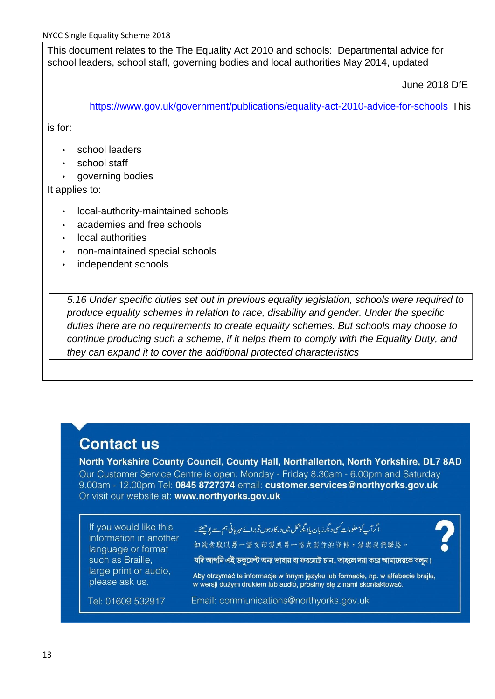This document relates to the The Equality Act 2010 and schools: Departmental advice for school leaders, school staff, governing bodies and local authorities May 2014, updated

June 2018 DfE

<https://www.gov.uk/government/publications/equality-act-2010-advice-for-schools> [T](https://www.gov.uk/government/publications/equality-act-2010-advice-for-schools)his

is for:

- school leaders
- school staff
- governing bodies

It applies to:

- local-authority-maintained schools
- academies and free schools
- local authorities
- non-maintained special schools
- independent schools

*5.16 Under specific duties set out in previous equality legislation, schools were required to produce equality schemes in relation to race, disability and gender. Under the specific duties there are no requirements to create equality schemes. But schools may choose to continue producing such a scheme, if it helps them to comply with the Equality Duty, and they can expand it to cover the additional protected characteristics*

## **Contact us**

North Yorkshire County Council, County Hall, Northallerton, North Yorkshire, DL7 8AD Our Customer Service Centre is open: Monday - Friday 8.30am - 6.00pm and Saturday 9.00am - 12.00pm Tel: 0845 8727374 email: customer.services@northvorks.gov.uk Or visit our website at: www.northvorks.gov.uk

If you would like this information in another language or format such as Braille, large print or audio, please ask us.

ا گرآپ کومعلومات سی دیگرزبان یاد یکرشکل میں در کارہوں تو برائے مہر بانی ہم ہے یو<u>جھ</u>ئے۔

如缺索取以另一語文印製或另一格式製作的資料,請與我們聯絡。

যদি আপনি এই ডকমেন্ট অন্য ভাষায় বা ফরমেটে চান, তাহলে দয়া করে আমাদেরকে বলন।

Aby otrzymać te informacje w innym języku lub formacie, np. w alfabecie brajla, w wersji dużym drukiem lub audió, prosimy się z nami skontaktować.

Tel: 01609 532917

Email: communications@northyorks.gov.uk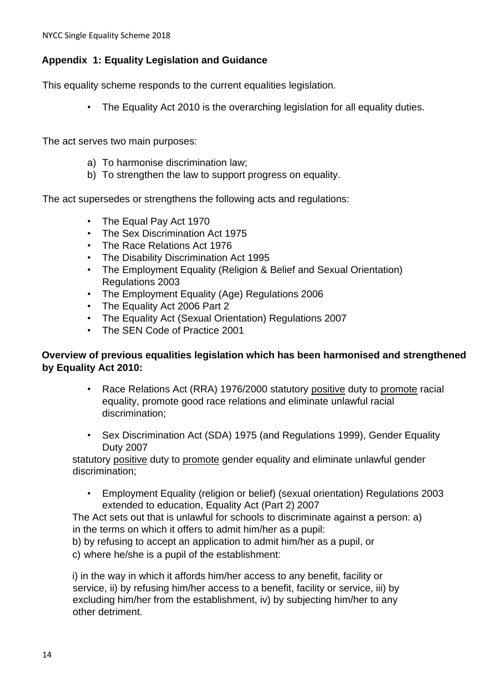## **Appendix 1: Equality Legislation and Guidance**

This equality scheme responds to the current equalities legislation.

• The Equality Act 2010 is the overarching legislation for all equality duties.

The act serves two main purposes:

- a) To harmonise discrimination law;
- b) To strengthen the law to support progress on equality.

The act supersedes or strengthens the following acts and regulations:

- The Equal Pay Act 1970
- The Sex Discrimination Act 1975
- The Race Relations Act 1976
- The Disability Discrimination Act 1995
- The Employment Equality (Religion & Belief and Sexual Orientation) Regulations 2003
- The Employment Equality (Age) Regulations 2006
- The Equality Act 2006 Part 2
- The Equality Act (Sexual Orientation) Regulations 2007
- The SEN Code of Practice 2001

#### **Overview of previous equalities legislation which has been harmonised and strengthened by Equality Act 2010:**

- Race Relations Act (RRA) 1976/2000 statutory positive duty to promote racial equality, promote good race relations and eliminate unlawful racial discrimination;
- Sex Discrimination Act (SDA) 1975 (and Regulations 1999), Gender Equality Duty 2007

statutory positive duty to promote gender equality and eliminate unlawful gender discrimination;

• Employment Equality (religion or belief) (sexual orientation) Regulations 2003 extended to education, Equality Act (Part 2) 2007

The Act sets out that is unlawful for schools to discriminate against a person: a) in the terms on which it offers to admit him/her as a pupil:

b) by refusing to accept an application to admit him/her as a pupil, or

c) where he/she is a pupil of the establishment:

i) in the way in which it affords him/her access to any benefit, facility or service, ii) by refusing him/her access to a benefit, facility or service, iii) by excluding him/her from the establishment, iv) by subjecting him/her to any other detriment.